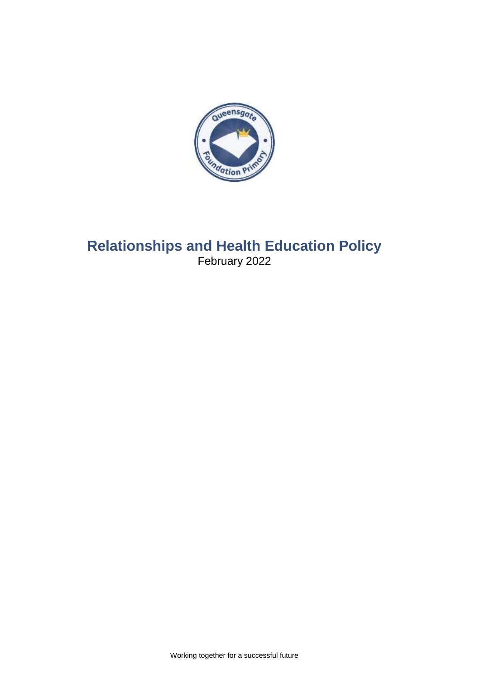

# **Relationships and Health Education Policy** February 2022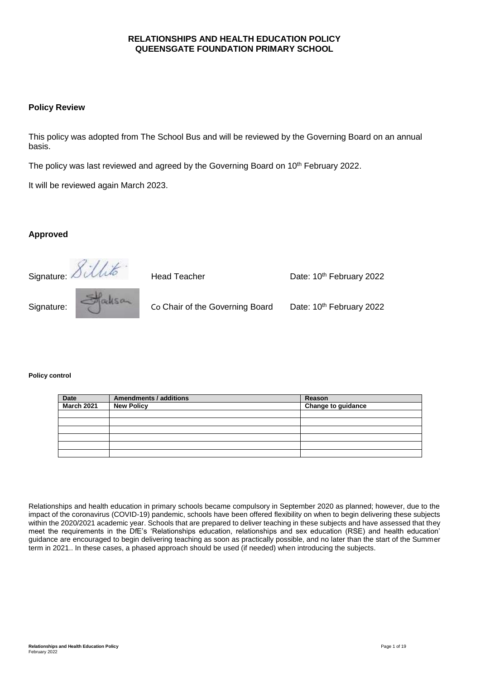## **RELATIONSHIPS AND HEALTH EDUCATION POLICY QUEENSGATE FOUNDATION PRIMARY SCHOOL**

#### **Policy Review**

This policy was adopted from The School Bus and will be reviewed by the Governing Board on an annual basis.

The policy was last reviewed and agreed by the Governing Board on 10<sup>th</sup> February 2022.

It will be reviewed again March 2023.

#### **Approved**



#### **Policy control**

| <b>Date</b>       | <b>Amendments / additions</b> | Reason                    |
|-------------------|-------------------------------|---------------------------|
| <b>March 2021</b> | <b>New Policy</b>             | <b>Change to guidance</b> |
|                   |                               |                           |
|                   |                               |                           |
|                   |                               |                           |
|                   |                               |                           |
|                   |                               |                           |
|                   |                               |                           |

Relationships and health education in primary schools became compulsory in September 2020 as planned; however, due to the impact of the coronavirus (COVID-19) pandemic, schools have been offered flexibility on when to begin delivering these subjects within the 2020/2021 academic year. Schools that are prepared to deliver teaching in these subjects and have assessed that they meet the requirements in the DfE's 'Relationships education, relationships and sex education (RSE) and health education' guidance are encouraged to begin delivering teaching as soon as practically possible, and no later than the start of the Summer term in 2021.. In these cases, a phased approach should be used (if needed) when introducing the subjects.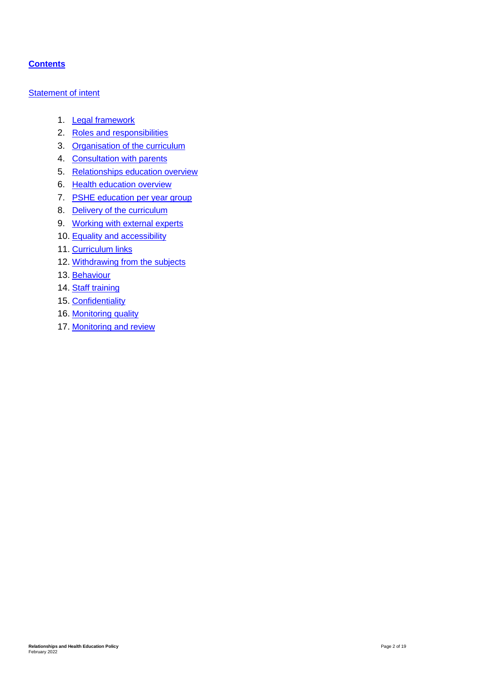## **Contents**

#### **[Statement of intent](#page-3-0)**

- 1. [Legal framework](#page-4-0)
- 2. [Roles and responsibilities](#page-4-1)
- 3. [Organisation of the curriculum](#page-5-0)
- 4. [Consultation with parents](#page-6-0)
- 5. [Relationships education overview](#page-6-1)
- 6. Health education overview
- 7. [PSHE education](#page-10-0) per year group
- 8. [Delivery of the curriculum](#page-13-0)
- 9. [Working with external experts](#page-14-0)
- 10. [Equality and accessibility](#page-15-0)
- 11. [Curriculum links](#page-15-1)
- 12. [Withdrawing from the subjects](#page-16-0)
- 13. [Behaviour](#page-16-1)
- 14. [Staff training](#page-17-0)
- 15. [Confidentiality](#page-17-1)
- 16. [Monitoring quality](#page-17-2)
- 17. [Monitoring and review](#page-18-0)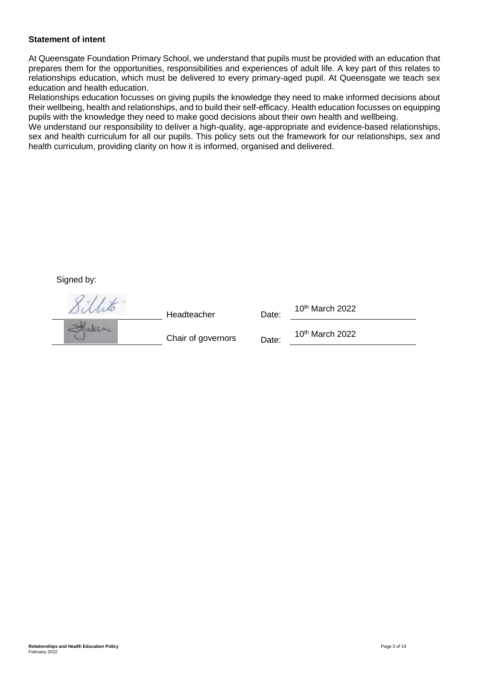#### <span id="page-3-0"></span>**Statement of intent**

At Queensgate Foundation Primary School, we understand that pupils must be provided with an education that prepares them for the opportunities, responsibilities and experiences of adult life. A key part of this relates to relationships education, which must be delivered to every primary-aged pupil. At Queensgate we teach sex education and health education.

Relationships education focusses on giving pupils the knowledge they need to make informed decisions about their wellbeing, health and relationships, and to build their self-efficacy. Health education focusses on equipping pupils with the knowledge they need to make good decisions about their own health and wellbeing.

We understand our responsibility to deliver a high-quality, age-appropriate and evidence-based relationships, sex and health curriculum for all our pupils. This policy sets out the framework for our relationships, sex and health curriculum, providing clarity on how it is informed, organised and delivered.

#### Signed by:

| Headteacher        | Date: | 10 <sup>th</sup> March 2022 |
|--------------------|-------|-----------------------------|
| Chair of governors | Date: | 10 <sup>th</sup> March 2022 |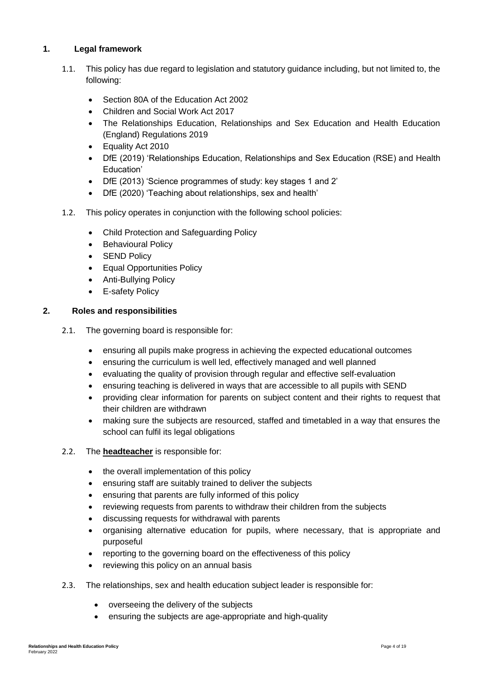## <span id="page-4-0"></span>**1. Legal framework**

- 1.1. This policy has due regard to legislation and statutory guidance including, but not limited to, the following:
	- Section 80A of the Education Act 2002
	- Children and Social Work Act 2017
	- The Relationships Education, Relationships and Sex Education and Health Education (England) Regulations 2019
	- Equality Act 2010
	- DfE (2019) 'Relationships Education, Relationships and Sex Education (RSE) and Health Education'
	- DfE (2013) 'Science programmes of study: key stages 1 and 2'
	- DfE (2020) 'Teaching about relationships, sex and health'
- 1.2. This policy operates in conjunction with the following school policies:
	- Child Protection and Safeguarding Policy
	- Behavioural Policy
	- SEND Policy
	- Equal Opportunities Policy
	- Anti-Bullying Policy
	- E-safety Policy

## <span id="page-4-1"></span>**2. Roles and responsibilities**

- 2.1. The governing board is responsible for:
	- ensuring all pupils make progress in achieving the expected educational outcomes
	- ensuring the curriculum is well led, effectively managed and well planned
	- evaluating the quality of provision through regular and effective self-evaluation
	- ensuring teaching is delivered in ways that are accessible to all pupils with SEND
	- providing clear information for parents on subject content and their rights to request that their children are withdrawn
	- making sure the subjects are resourced, staffed and timetabled in a way that ensures the school can fulfil its legal obligations
- 2.2. The **headteacher** is responsible for:
	- the overall implementation of this policy
	- ensuring staff are suitably trained to deliver the subjects
	- ensuring that parents are fully informed of this policy
	- reviewing requests from parents to withdraw their children from the subjects
	- discussing requests for withdrawal with parents
	- organising alternative education for pupils, where necessary, that is appropriate and purposeful
	- reporting to the governing board on the effectiveness of this policy
	- reviewing this policy on an annual basis
- 2.3. The relationships, sex and health education subject leader is responsible for:
	- overseeing the delivery of the subjects
	- ensuring the subjects are age-appropriate and high-quality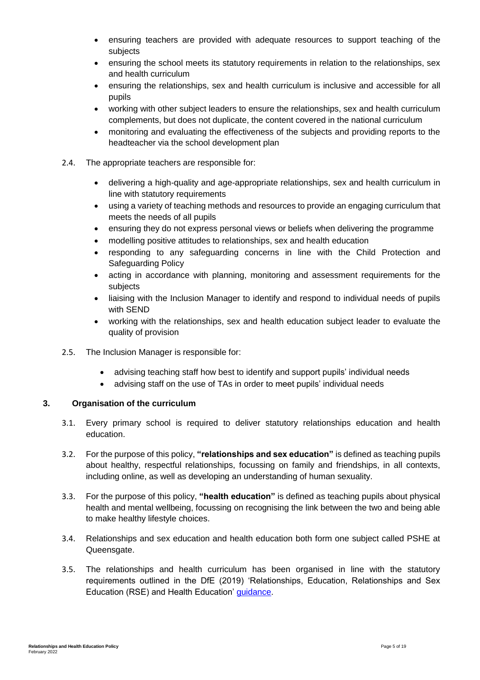- ensuring teachers are provided with adequate resources to support teaching of the subjects
- ensuring the school meets its statutory requirements in relation to the relationships, sex and health curriculum
- ensuring the relationships, sex and health curriculum is inclusive and accessible for all pupils
- working with other subject leaders to ensure the relationships, sex and health curriculum complements, but does not duplicate, the content covered in the national curriculum
- monitoring and evaluating the effectiveness of the subjects and providing reports to the headteacher via the school development plan
- 2.4. The appropriate teachers are responsible for:
	- delivering a high-quality and age-appropriate relationships, sex and health curriculum in line with statutory requirements
	- using a variety of teaching methods and resources to provide an engaging curriculum that meets the needs of all pupils
	- ensuring they do not express personal views or beliefs when delivering the programme
	- modelling positive attitudes to relationships, sex and health education
	- responding to any safeguarding concerns in line with the Child Protection and Safeguarding Policy
	- acting in accordance with planning, monitoring and assessment requirements for the subjects
	- liaising with the Inclusion Manager to identify and respond to individual needs of pupils with SEND
	- working with the relationships, sex and health education subject leader to evaluate the quality of provision
- 2.5. The Inclusion Manager is responsible for:
	- advising teaching staff how best to identify and support pupils' individual needs
	- advising staff on the use of TAs in order to meet pupils' individual needs

#### <span id="page-5-0"></span>**3. Organisation of the curriculum**

- 3.1. Every primary school is required to deliver statutory relationships education and health education.
- 3.2. For the purpose of this policy, **"relationships and sex education"** is defined as teaching pupils about healthy, respectful relationships, focussing on family and friendships, in all contexts, including online, as well as developing an understanding of human sexuality.
- 3.3. For the purpose of this policy, **"health education"** is defined as teaching pupils about physical health and mental wellbeing, focussing on recognising the link between the two and being able to make healthy lifestyle choices.
- 3.4. Relationships and sex education and health education both form one subject called PSHE at Queensgate.
- 3.5. The relationships and health curriculum has been organised in line with the statutory requirements outlined in the DfE (2019) 'Relationships, Education, Relationships and Sex Education (RSE) and Health Education' [guidance.](https://www.gov.uk/government/publications/relationships-education-relationships-and-sex-education-rse-and-health-education)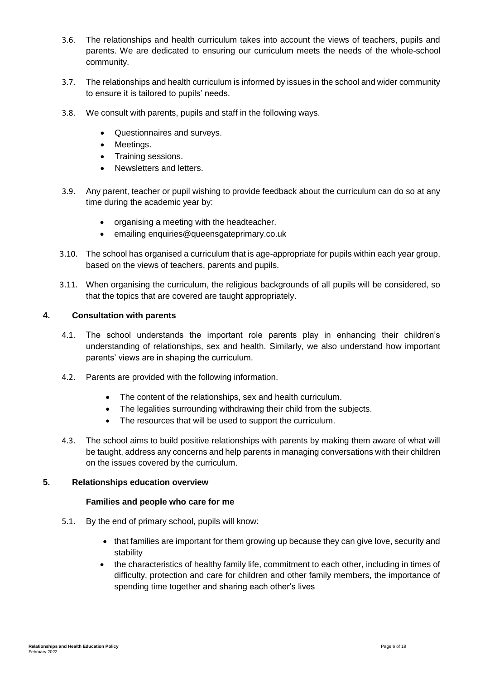- 3.6. The relationships and health curriculum takes into account the views of teachers, pupils and parents. We are dedicated to ensuring our curriculum meets the needs of the whole-school community.
- 3.7. The relationships and health curriculum is informed by issues in the school and wider community to ensure it is tailored to pupils' needs.
- 3.8. We consult with parents, pupils and staff in the following ways.
	- Questionnaires and surveys.
	- Meetings.
	- Training sessions.
	- Newsletters and letters.
- 3.9. Any parent, teacher or pupil wishing to provide feedback about the curriculum can do so at any time during the academic year by:
	- organising a meeting with the headteacher.
	- emailing enquiries@queensgateprimary.co.uk
- 3.10. The school has organised a curriculum that is age-appropriate for pupils within each year group, based on the views of teachers, parents and pupils.
- 3.11. When organising the curriculum, the religious backgrounds of all pupils will be considered, so that the topics that are covered are taught appropriately.

#### <span id="page-6-0"></span>**4. Consultation with parents**

- 4.1. The school understands the important role parents play in enhancing their children's understanding of relationships, sex and health. Similarly, we also understand how important parents' views are in shaping the curriculum.
- 4.2. Parents are provided with the following information.
	- The content of the relationships, sex and health curriculum.
	- The legalities surrounding withdrawing their child from the subjects.
	- The resources that will be used to support the curriculum.
- 4.3. The school aims to build positive relationships with parents by making them aware of what will be taught, address any concerns and help parents in managing conversations with their children on the issues covered by the curriculum.

#### <span id="page-6-1"></span>**5. Relationships education overview**

#### **Families and people who care for me**

- 5.1. By the end of primary school, pupils will know:
	- that families are important for them growing up because they can give love, security and stability
	- the characteristics of healthy family life, commitment to each other, including in times of difficulty, protection and care for children and other family members, the importance of spending time together and sharing each other's lives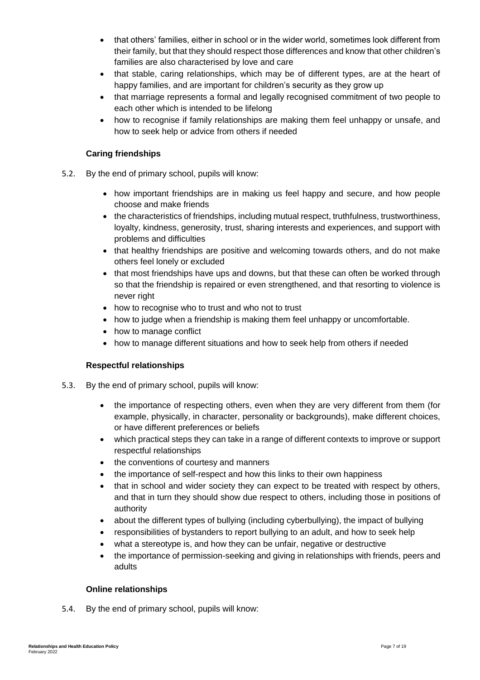- that others' families, either in school or in the wider world, sometimes look different from their family, but that they should respect those differences and know that other children's families are also characterised by love and care
- that stable, caring relationships, which may be of different types, are at the heart of happy families, and are important for children's security as they grow up
- that marriage represents a formal and legally recognised commitment of two people to each other which is intended to be lifelong
- how to recognise if family relationships are making them feel unhappy or unsafe, and how to seek help or advice from others if needed

## **Caring friendships**

- 5.2. By the end of primary school, pupils will know:
	- how important friendships are in making us feel happy and secure, and how people choose and make friends
	- the characteristics of friendships, including mutual respect, truthfulness, trustworthiness, loyalty, kindness, generosity, trust, sharing interests and experiences, and support with problems and difficulties
	- that healthy friendships are positive and welcoming towards others, and do not make others feel lonely or excluded
	- that most friendships have ups and downs, but that these can often be worked through so that the friendship is repaired or even strengthened, and that resorting to violence is never right
	- how to recognise who to trust and who not to trust
	- how to judge when a friendship is making them feel unhappy or uncomfortable.
	- how to manage conflict
	- how to manage different situations and how to seek help from others if needed

#### **Respectful relationships**

- 5.3. By the end of primary school, pupils will know:
	- the importance of respecting others, even when they are very different from them (for example, physically, in character, personality or backgrounds), make different choices, or have different preferences or beliefs
	- which practical steps they can take in a range of different contexts to improve or support respectful relationships
	- the conventions of courtesy and manners
	- the importance of self-respect and how this links to their own happiness
	- that in school and wider society they can expect to be treated with respect by others, and that in turn they should show due respect to others, including those in positions of authority
	- about the different types of bullying (including cyberbullying), the impact of bullying
	- responsibilities of bystanders to report bullying to an adult, and how to seek help
	- what a stereotype is, and how they can be unfair, negative or destructive
	- the importance of permission-seeking and giving in relationships with friends, peers and adults

#### **Online relationships**

5.4. By the end of primary school, pupils will know: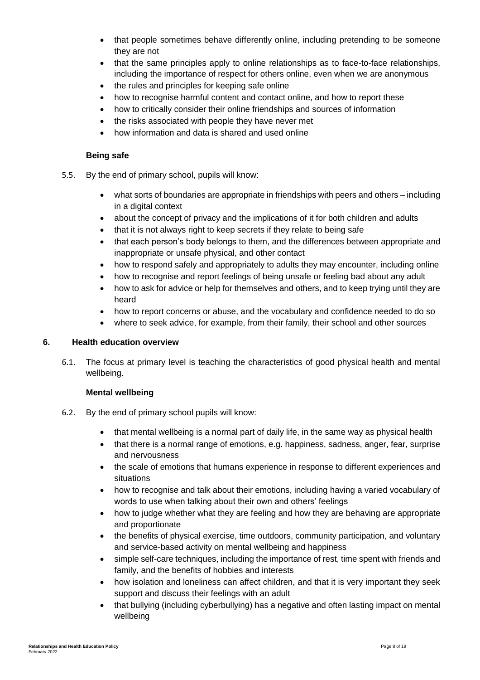- that people sometimes behave differently online, including pretending to be someone they are not
- that the same principles apply to online relationships as to face-to-face relationships, including the importance of respect for others online, even when we are anonymous
- the rules and principles for keeping safe online
- how to recognise harmful content and contact online, and how to report these
- how to critically consider their online friendships and sources of information
- the risks associated with people they have never met
- how information and data is shared and used online

## **Being safe**

- 5.5. By the end of primary school, pupils will know:
	- what sorts of boundaries are appropriate in friendships with peers and others including in a digital context
	- about the concept of privacy and the implications of it for both children and adults
	- that it is not always right to keep secrets if they relate to being safe
	- that each person's body belongs to them, and the differences between appropriate and inappropriate or unsafe physical, and other contact
	- how to respond safely and appropriately to adults they may encounter, including online
	- how to recognise and report feelings of being unsafe or feeling bad about any adult
	- how to ask for advice or help for themselves and others, and to keep trying until they are heard
	- how to report concerns or abuse, and the vocabulary and confidence needed to do so
	- where to seek advice, for example, from their family, their school and other sources

## **6. Health education overview**

6.1. The focus at primary level is teaching the characteristics of good physical health and mental wellbeing.

## **Mental wellbeing**

- 6.2. By the end of primary school pupils will know:
	- that mental wellbeing is a normal part of daily life, in the same way as physical health
	- that there is a normal range of emotions, e.g. happiness, sadness, anger, fear, surprise and nervousness
	- the scale of emotions that humans experience in response to different experiences and situations
	- how to recognise and talk about their emotions, including having a varied vocabulary of words to use when talking about their own and others' feelings
	- how to judge whether what they are feeling and how they are behaving are appropriate and proportionate
	- the benefits of physical exercise, time outdoors, community participation, and voluntary and service-based activity on mental wellbeing and happiness
	- simple self-care techniques, including the importance of rest, time spent with friends and family, and the benefits of hobbies and interests
	- how isolation and loneliness can affect children, and that it is very important they seek support and discuss their feelings with an adult
	- that bullying (including cyberbullying) has a negative and often lasting impact on mental wellbeing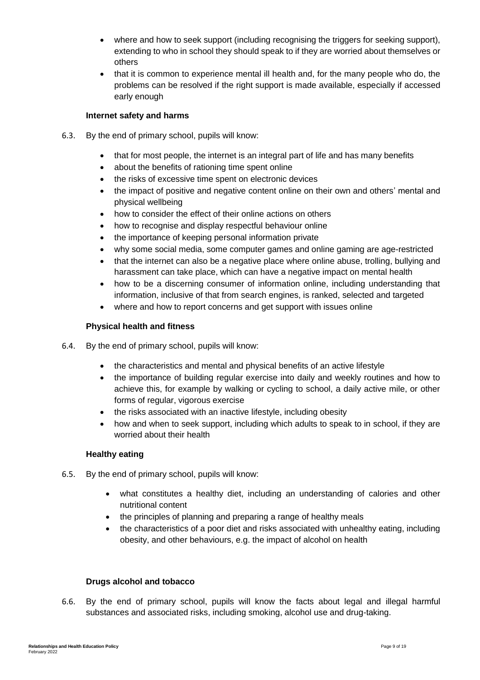- where and how to seek support (including recognising the triggers for seeking support), extending to who in school they should speak to if they are worried about themselves or others
- that it is common to experience mental ill health and, for the many people who do, the problems can be resolved if the right support is made available, especially if accessed early enough

## **Internet safety and harms**

- 6.3. By the end of primary school, pupils will know:
	- that for most people, the internet is an integral part of life and has many benefits
	- about the benefits of rationing time spent online
	- the risks of excessive time spent on electronic devices
	- the impact of positive and negative content online on their own and others' mental and physical wellbeing
	- how to consider the effect of their online actions on others
	- how to recognise and display respectful behaviour online
	- the importance of keeping personal information private
	- why some social media, some computer games and online gaming are age-restricted
	- that the internet can also be a negative place where online abuse, trolling, bullying and harassment can take place, which can have a negative impact on mental health
	- how to be a discerning consumer of information online, including understanding that information, inclusive of that from search engines, is ranked, selected and targeted
	- where and how to report concerns and get support with issues online

## **Physical health and fitness**

- 6.4. By the end of primary school, pupils will know:
	- the characteristics and mental and physical benefits of an active lifestyle
	- the importance of building regular exercise into daily and weekly routines and how to achieve this, for example by walking or cycling to school, a daily active mile, or other forms of regular, vigorous exercise
	- the risks associated with an inactive lifestyle, including obesity
	- how and when to seek support, including which adults to speak to in school, if they are worried about their health

#### **Healthy eating**

- 6.5. By the end of primary school, pupils will know:
	- what constitutes a healthy diet, including an understanding of calories and other nutritional content
	- the principles of planning and preparing a range of healthy meals
	- the characteristics of a poor diet and risks associated with unhealthy eating, including obesity, and other behaviours, e.g. the impact of alcohol on health

#### **Drugs alcohol and tobacco**

6.6. By the end of primary school, pupils will know the facts about legal and illegal harmful substances and associated risks, including smoking, alcohol use and drug-taking.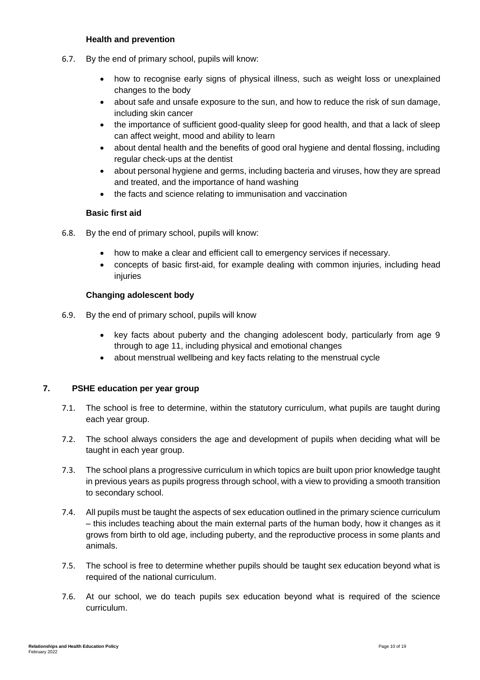#### **Health and prevention**

- 6.7. By the end of primary school, pupils will know:
	- how to recognise early signs of physical illness, such as weight loss or unexplained changes to the body
	- about safe and unsafe exposure to the sun, and how to reduce the risk of sun damage, including skin cancer
	- the importance of sufficient good-quality sleep for good health, and that a lack of sleep can affect weight, mood and ability to learn
	- about dental health and the benefits of good oral hygiene and dental flossing, including regular check-ups at the dentist
	- about personal hygiene and germs, including bacteria and viruses, how they are spread and treated, and the importance of hand washing
	- the facts and science relating to immunisation and vaccination

#### **Basic first aid**

- 6.8. By the end of primary school, pupils will know:
	- how to make a clear and efficient call to emergency services if necessary.
	- concepts of basic first-aid, for example dealing with common injuries, including head injuries

## <span id="page-10-0"></span>**Changing adolescent body**

- 6.9. By the end of primary school, pupils will know
	- key facts about puberty and the changing adolescent body, particularly from age 9 through to age 11, including physical and emotional changes
	- about menstrual wellbeing and key facts relating to the menstrual cycle

#### **7. PSHE education per year group**

- 7.1. The school is free to determine, within the statutory curriculum, what pupils are taught during each year group.
- 7.2. The school always considers the age and development of pupils when deciding what will be taught in each year group.
- 7.3. The school plans a progressive curriculum in which topics are built upon prior knowledge taught in previous years as pupils progress through school, with a view to providing a smooth transition to secondary school.
- 7.4. All pupils must be taught the aspects of sex education outlined in the primary science curriculum – this includes teaching about the main external parts of the human body, how it changes as it grows from birth to old age, including puberty, and the reproductive process in some plants and animals.
- 7.5. The school is free to determine whether pupils should be taught sex education beyond what is required of the national curriculum.
- 7.6. At our school, we do teach pupils sex education beyond what is required of the science curriculum.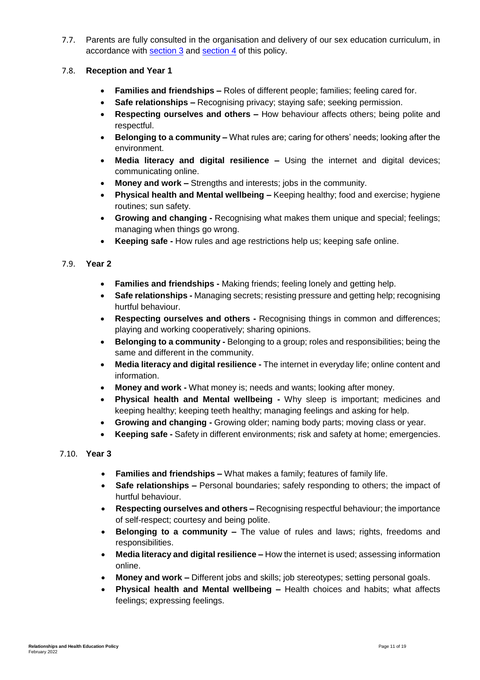7.7. Parents are fully consulted in the organisation and delivery of our sex education curriculum, in accordance with [section 3](#page-5-0) and [section 4](#page-6-0) of this policy.

## 7.8. **Reception and Year 1**

- **Families and friendships –** Roles of different people; families; feeling cared for.
- **Safe relationships –** Recognising privacy; staying safe; seeking permission.
- **Respecting ourselves and others –** How behaviour affects others; being polite and respectful.
- **Belonging to a community –** What rules are; caring for others' needs; looking after the environment.
- **Media literacy and digital resilience –** Using the internet and digital devices; communicating online.
- **Money and work –** Strengths and interests; jobs in the community.
- **Physical health and Mental wellbeing –** Keeping healthy; food and exercise; hygiene routines; sun safety.
- **Growing and changing -** Recognising what makes them unique and special; feelings; managing when things go wrong.
- **Keeping safe -** How rules and age restrictions help us; keeping safe online.

## 7.9. **Year 2**

- **Families and friendships -** Making friends; feeling lonely and getting help.
- **Safe relationships -** Managing secrets; resisting pressure and getting help; recognising hurtful behaviour.
- **Respecting ourselves and others -** Recognising things in common and differences; playing and working cooperatively; sharing opinions.
- **Belonging to a community -** Belonging to a group; roles and responsibilities; being the same and different in the community.
- **Media literacy and digital resilience -** The internet in everyday life; online content and information.
- **Money and work -** What money is; needs and wants; looking after money.
- **Physical health and Mental wellbeing -** Why sleep is important; medicines and keeping healthy; keeping teeth healthy; managing feelings and asking for help.
- **Growing and changing -** Growing older; naming body parts; moving class or year.
- **Keeping safe -** Safety in different environments; risk and safety at home; emergencies.
- 7.10. **Year 3**
	- **Families and friendships –** What makes a family; features of family life.
	- **Safe relationships –** Personal boundaries; safely responding to others; the impact of hurtful behaviour.
	- **Respecting ourselves and others –** Recognising respectful behaviour; the importance of self-respect; courtesy and being polite.
	- **Belonging to a community –** The value of rules and laws; rights, freedoms and responsibilities.
	- **Media literacy and digital resilience –** How the internet is used; assessing information online.
	- **Money and work –** Different jobs and skills; job stereotypes; setting personal goals.
	- **Physical health and Mental wellbeing –** Health choices and habits; what affects feelings; expressing feelings.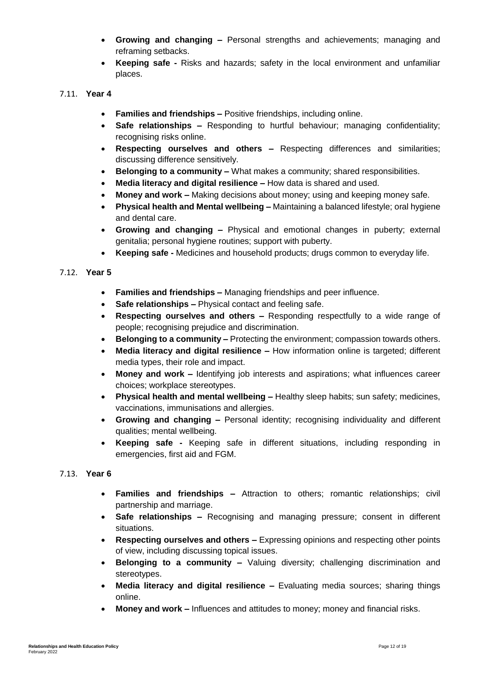- **Growing and changing –** Personal strengths and achievements; managing and reframing setbacks.
- **Keeping safe -** Risks and hazards; safety in the local environment and unfamiliar places.

## 7.11. **Year 4**

- **Families and friendships –** Positive friendships, including online.
- **Safe relationships –** Responding to hurtful behaviour; managing confidentiality; recognising risks online.
- **Respecting ourselves and others –** Respecting differences and similarities; discussing difference sensitively.
- **Belonging to a community –** What makes a community; shared responsibilities.
- **Media literacy and digital resilience –** How data is shared and used.
- **Money and work –** Making decisions about money; using and keeping money safe.
- **Physical health and Mental wellbeing –** Maintaining a balanced lifestyle; oral hygiene and dental care.
- **Growing and changing –** Physical and emotional changes in puberty; external genitalia; personal hygiene routines; support with puberty.
- **Keeping safe -** Medicines and household products; drugs common to everyday life.

#### 7.12. **Year 5**

- **Families and friendships –** Managing friendships and peer influence.
- **Safe relationships –** Physical contact and feeling safe.
- **Respecting ourselves and others –** Responding respectfully to a wide range of people; recognising prejudice and discrimination.
- **Belonging to a community –** Protecting the environment; compassion towards others.
- **Media literacy and digital resilience –** How information online is targeted; different media types, their role and impact.
- **Money and work –** Identifying job interests and aspirations; what influences career choices; workplace stereotypes.
- **Physical health and mental wellbeing –** Healthy sleep habits; sun safety; medicines, vaccinations, immunisations and allergies.
- **Growing and changing –** Personal identity; recognising individuality and different qualities; mental wellbeing.
- **Keeping safe -** Keeping safe in different situations, including responding in emergencies, first aid and FGM.

### 7.13. **Year 6**

- **Families and friendships –** Attraction to others; romantic relationships; civil partnership and marriage.
- **Safe relationships –** Recognising and managing pressure; consent in different situations.
- **Respecting ourselves and others –** Expressing opinions and respecting other points of view, including discussing topical issues.
- **Belonging to a community –** Valuing diversity; challenging discrimination and stereotypes.
- **Media literacy and digital resilience –** Evaluating media sources; sharing things online.
- **Money and work –** Influences and attitudes to money; money and financial risks.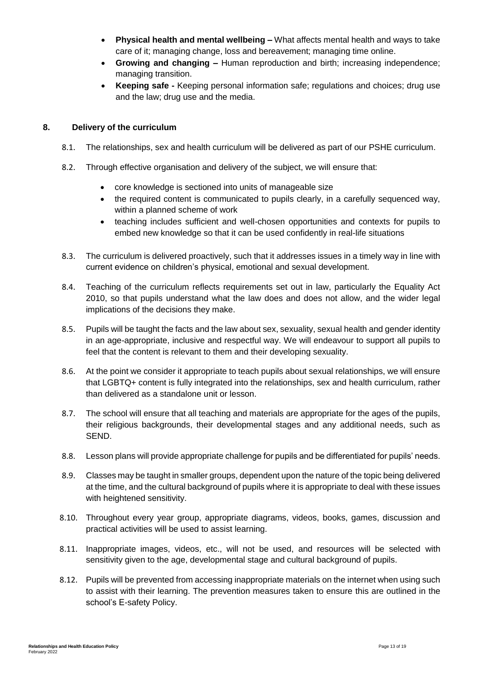- **Physical health and mental wellbeing –** What affects mental health and ways to take care of it; managing change, loss and bereavement; managing time online.
- **Growing and changing –** Human reproduction and birth; increasing independence; managing transition.
- **Keeping safe -** Keeping personal information safe; regulations and choices; drug use and the law; drug use and the media.

## <span id="page-13-0"></span>**8. Delivery of the curriculum**

- 8.1. The relationships, sex and health curriculum will be delivered as part of our PSHE curriculum.
- 8.2. Through effective organisation and delivery of the subject, we will ensure that:
	- core knowledge is sectioned into units of manageable size
	- the required content is communicated to pupils clearly, in a carefully sequenced way, within a planned scheme of work
	- teaching includes sufficient and well-chosen opportunities and contexts for pupils to embed new knowledge so that it can be used confidently in real-life situations
- 8.3. The curriculum is delivered proactively, such that it addresses issues in a timely way in line with current evidence on children's physical, emotional and sexual development.
- 8.4. Teaching of the curriculum reflects requirements set out in law, particularly the Equality Act 2010, so that pupils understand what the law does and does not allow, and the wider legal implications of the decisions they make.
- 8.5. Pupils will be taught the facts and the law about sex, sexuality, sexual health and gender identity in an age-appropriate, inclusive and respectful way. We will endeavour to support all pupils to feel that the content is relevant to them and their developing sexuality.
- 8.6. At the point we consider it appropriate to teach pupils about sexual relationships, we will ensure that LGBTQ+ content is fully integrated into the relationships, sex and health curriculum, rather than delivered as a standalone unit or lesson.
- 8.7. The school will ensure that all teaching and materials are appropriate for the ages of the pupils, their religious backgrounds, their developmental stages and any additional needs, such as SEND.
- 8.8. Lesson plans will provide appropriate challenge for pupils and be differentiated for pupils' needs.
- 8.9. Classes may be taught in smaller groups, dependent upon the nature of the topic being delivered at the time, and the cultural background of pupils where it is appropriate to deal with these issues with heightened sensitivity.
- 8.10. Throughout every year group, appropriate diagrams, videos, books, games, discussion and practical activities will be used to assist learning.
- 8.11. Inappropriate images, videos, etc., will not be used, and resources will be selected with sensitivity given to the age, developmental stage and cultural background of pupils.
- 8.12. Pupils will be prevented from accessing inappropriate materials on the internet when using such to assist with their learning. The prevention measures taken to ensure this are outlined in the school's E-safety Policy.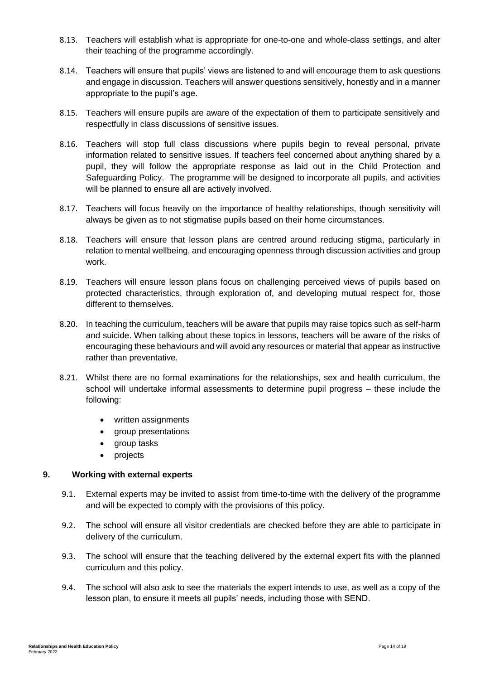- 8.13. Teachers will establish what is appropriate for one-to-one and whole-class settings, and alter their teaching of the programme accordingly.
- 8.14. Teachers will ensure that pupils' views are listened to and will encourage them to ask questions and engage in discussion. Teachers will answer questions sensitively, honestly and in a manner appropriate to the pupil's age.
- 8.15. Teachers will ensure pupils are aware of the expectation of them to participate sensitively and respectfully in class discussions of sensitive issues.
- 8.16. Teachers will stop full class discussions where pupils begin to reveal personal, private information related to sensitive issues. If teachers feel concerned about anything shared by a pupil, they will follow the appropriate response as laid out in the Child Protection and Safeguarding Policy. The programme will be designed to incorporate all pupils, and activities will be planned to ensure all are actively involved.
- 8.17. Teachers will focus heavily on the importance of healthy relationships, though sensitivity will always be given as to not stigmatise pupils based on their home circumstances.
- 8.18. Teachers will ensure that lesson plans are centred around reducing stigma, particularly in relation to mental wellbeing, and encouraging openness through discussion activities and group work.
- 8.19. Teachers will ensure lesson plans focus on challenging perceived views of pupils based on protected characteristics, through exploration of, and developing mutual respect for, those different to themselves.
- 8.20. In teaching the curriculum, teachers will be aware that pupils may raise topics such as self-harm and suicide. When talking about these topics in lessons, teachers will be aware of the risks of encouraging these behaviours and will avoid any resources or material that appear as instructive rather than preventative.
- 8.21. Whilst there are no formal examinations for the relationships, sex and health curriculum, the school will undertake informal assessments to determine pupil progress – these include the following:
	- written assignments
	- group presentations
	- group tasks
	- projects

#### <span id="page-14-0"></span>**9. Working with external experts**

- 9.1. External experts may be invited to assist from time-to-time with the delivery of the programme and will be expected to comply with the provisions of this policy.
- 9.2. The school will ensure all visitor credentials are checked before they are able to participate in delivery of the curriculum.
- 9.3. The school will ensure that the teaching delivered by the external expert fits with the planned curriculum and this policy.
- 9.4. The school will also ask to see the materials the expert intends to use, as well as a copy of the lesson plan, to ensure it meets all pupils' needs, including those with SEND.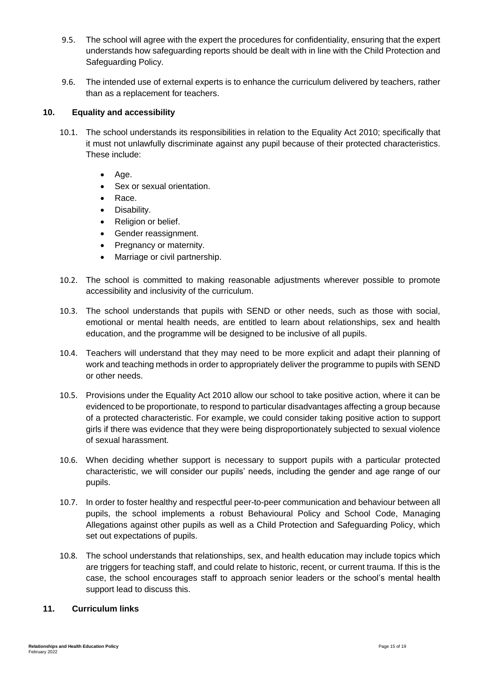- 9.5. The school will agree with the expert the procedures for confidentiality, ensuring that the expert understands how safeguarding reports should be dealt with in line with the Child Protection and Safeguarding Policy.
- 9.6. The intended use of external experts is to enhance the curriculum delivered by teachers, rather than as a replacement for teachers.

## <span id="page-15-0"></span>**10. Equality and accessibility**

- 10.1. The school understands its responsibilities in relation to the Equality Act 2010; specifically that it must not unlawfully discriminate against any pupil because of their protected characteristics. These include:
	- $\bullet$  Age.
	- Sex or sexual orientation.
	- Race.
	- Disability.
	- Religion or belief.
	- Gender reassignment.
	- Pregnancy or maternity.
	- Marriage or civil partnership.
- 10.2. The school is committed to making reasonable adjustments wherever possible to promote accessibility and inclusivity of the curriculum.
- 10.3. The school understands that pupils with SEND or other needs, such as those with social, emotional or mental health needs, are entitled to learn about relationships, sex and health education, and the programme will be designed to be inclusive of all pupils.
- 10.4. Teachers will understand that they may need to be more explicit and adapt their planning of work and teaching methods in order to appropriately deliver the programme to pupils with SEND or other needs.
- 10.5. Provisions under the Equality Act 2010 allow our school to take positive action, where it can be evidenced to be proportionate, to respond to particular disadvantages affecting a group because of a protected characteristic. For example, we could consider taking positive action to support girls if there was evidence that they were being disproportionately subjected to sexual violence of sexual harassment.
- 10.6. When deciding whether support is necessary to support pupils with a particular protected characteristic, we will consider our pupils' needs, including the gender and age range of our pupils.
- 10.7. In order to foster healthy and respectful peer-to-peer communication and behaviour between all pupils, the school implements a robust Behavioural Policy and School Code, Managing Allegations against other pupils as well as a Child Protection and Safeguarding Policy, which set out expectations of pupils.
- 10.8. The school understands that relationships, sex, and health education may include topics which are triggers for teaching staff, and could relate to historic, recent, or current trauma. If this is the case, the school encourages staff to approach senior leaders or the school's mental health support lead to discuss this.

## <span id="page-15-1"></span>**11. Curriculum links**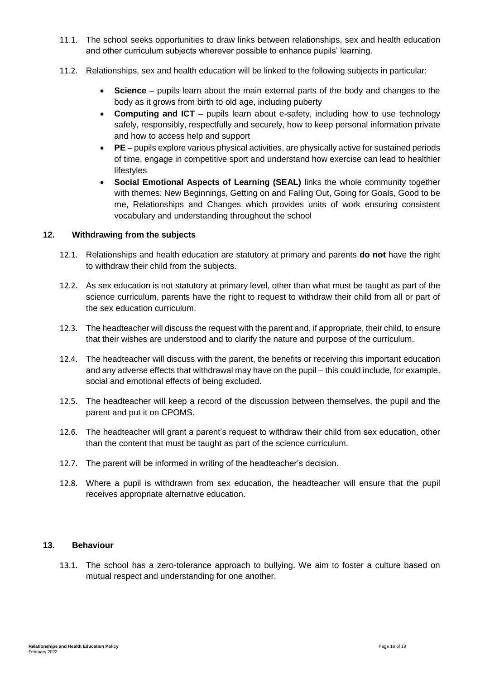- 11.1. The school seeks opportunities to draw links between relationships, sex and health education and other curriculum subjects wherever possible to enhance pupils' learning.
- 11.2. Relationships, sex and health education will be linked to the following subjects in particular:
	- **Science** pupils learn about the main external parts of the body and changes to the body as it grows from birth to old age, including puberty
	- **Computing and ICT** pupils learn about e-safety, including how to use technology safely, responsibly, respectfully and securely, how to keep personal information private and how to access help and support
	- **PE**  pupils explore various physical activities, are physically active for sustained periods of time, engage in competitive sport and understand how exercise can lead to healthier lifestyles
	- **Social Emotional Aspects of Learning (SEAL)** links the whole community together with themes: New Beginnings, Getting on and Falling Out, Going for Goals, Good to be me, Relationships and Changes which provides units of work ensuring consistent vocabulary and understanding throughout the school

#### <span id="page-16-0"></span>**12. Withdrawing from the subjects**

- 12.1. Relationships and health education are statutory at primary and parents **do not** have the right to withdraw their child from the subjects.
- 12.2. As sex education is not statutory at primary level, other than what must be taught as part of the science curriculum, parents have the right to request to withdraw their child from all or part of the sex education curriculum.
- 12.3. The headteacher will discuss the request with the parent and, if appropriate, their child, to ensure that their wishes are understood and to clarify the nature and purpose of the curriculum.
- 12.4. The headteacher will discuss with the parent, the benefits or receiving this important education and any adverse effects that withdrawal may have on the pupil – this could include, for example, social and emotional effects of being excluded.
- 12.5. The headteacher will keep a record of the discussion between themselves, the pupil and the parent and put it on CPOMS.
- 12.6. The headteacher will grant a parent's request to withdraw their child from sex education, other than the content that must be taught as part of the science curriculum.
- 12.7. The parent will be informed in writing of the headteacher's decision.
- 12.8. Where a pupil is withdrawn from sex education, the headteacher will ensure that the pupil receives appropriate alternative education.

### <span id="page-16-1"></span>**13. Behaviour**

13.1. The school has a zero-tolerance approach to bullying. We aim to foster a culture based on mutual respect and understanding for one another.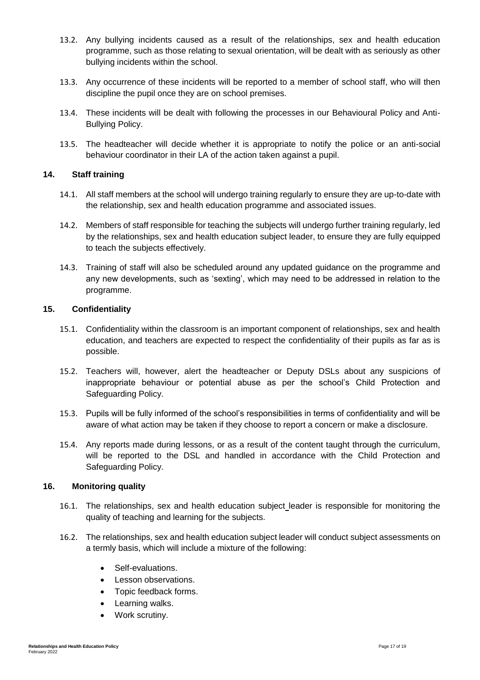- 13.2. Any bullying incidents caused as a result of the relationships, sex and health education programme, such as those relating to sexual orientation, will be dealt with as seriously as other bullying incidents within the school.
- 13.3. Any occurrence of these incidents will be reported to a member of school staff, who will then discipline the pupil once they are on school premises.
- 13.4. These incidents will be dealt with following the processes in our Behavioural Policy and Anti-Bullying Policy.
- 13.5. The headteacher will decide whether it is appropriate to notify the police or an anti-social behaviour coordinator in their LA of the action taken against a pupil.

#### <span id="page-17-0"></span>**14. Staff training**

- 14.1. All staff members at the school will undergo training regularly to ensure they are up-to-date with the relationship, sex and health education programme and associated issues.
- 14.2. Members of staff responsible for teaching the subjects will undergo further training regularly, led by the relationships, sex and health education subject leader, to ensure they are fully equipped to teach the subjects effectively.
- 14.3. Training of staff will also be scheduled around any updated guidance on the programme and any new developments, such as 'sexting', which may need to be addressed in relation to the programme.

#### <span id="page-17-1"></span>**15. Confidentiality**

- 15.1. Confidentiality within the classroom is an important component of relationships, sex and health education, and teachers are expected to respect the confidentiality of their pupils as far as is possible.
- 15.2. Teachers will, however, alert the headteacher or Deputy DSLs about any suspicions of inappropriate behaviour or potential abuse as per the school's Child Protection and Safeguarding Policy.
- 15.3. Pupils will be fully informed of the school's responsibilities in terms of confidentiality and will be aware of what action may be taken if they choose to report a concern or make a disclosure.
- 15.4. Any reports made during lessons, or as a result of the content taught through the curriculum, will be reported to the DSL and handled in accordance with the Child Protection and Safeguarding Policy.

#### <span id="page-17-2"></span>**16. Monitoring quality**

- 16.1. The relationships, sex and health education subject leader is responsible for monitoring the quality of teaching and learning for the subjects.
- 16.2. The relationships, sex and health education subject leader will conduct subject assessments on a termly basis, which will include a mixture of the following:
	- Self-evaluations.
	- Lesson observations.
	- Topic feedback forms.
	- Learning walks.
	- Work scrutiny.